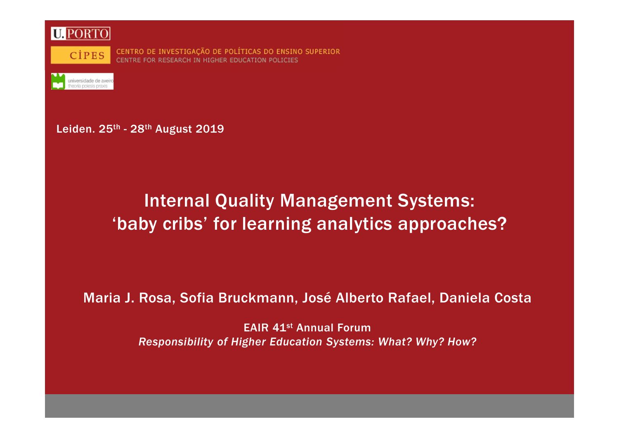

CENTRO DE INVESTIGAÇÃO DE POLÍTICAS DO ENSINO SUPERIOR CENTRE FOR RESEARCH IN HIGHER EDUCATION POLICIES

Leiden. 25<sup>th</sup> - 28<sup>th</sup> August 2019

# Internal Quality Management Systems:'baby cribs' for learning analytics approaches?

### Maria J. Rosa, Sofia Bruckmann, José Alberto Rafael, Daniela Costa

EAIR 41st Annual Forum*Responsibility of Higher Education Systems: What? Why? How?*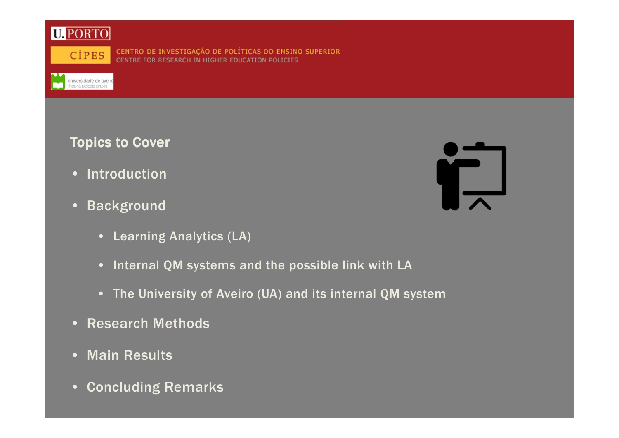

universidade de aveiro

CENTRO DE INVESTIGAÇÃO DE POLÍTICAS DO ENSINO SUPERIOR<br>CENTRE FOR RESEARCH IN HIGHER EDUCATION POLICIES

**Topics to Cover** 

- Introduction
- Background
	- Learning Analytics (LA)
	- Internal QM systems and the possible link with LA
	- The University of Aveiro (UA) and its internal QM system
- Research Methods
- Main Results
- Concluding Remarks

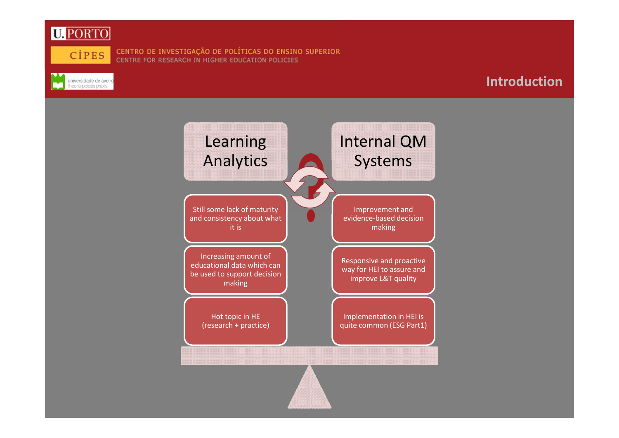

 $\sim$ 



universidade de aveiro

CENTRO DE INVESTIGAÇÃO DE POLÍTICAS DO ENSINO SUPERIOR CENTRE FOR RESEARCH IN HIGHER EDUCATION POLICIES



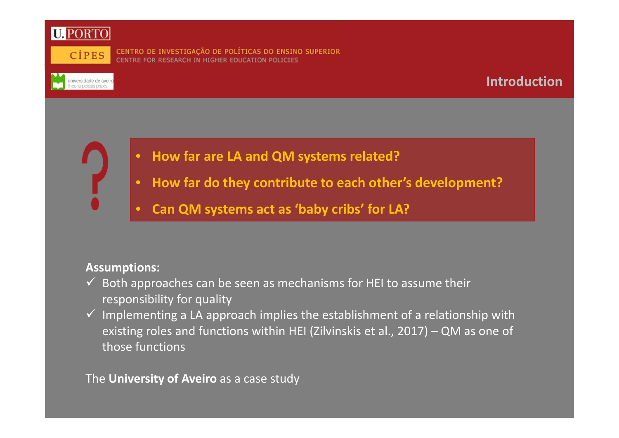



universidade de aveiro<br>theoria poiesis praxis

CENTRO DE INVESTIGAÇÃO DE POLÍTICAS DO ENSINO SUPERIOR CENTRE FOR RESEARCH IN HIGHER EDUCATION POLICIES

### **Introduction**

- **How far are LA and QM systems related?**
- $\bullet$ **How far do they contribute to each other's development?**
- $\bullet$ **Can QM systems act as 'baby cribs' for LA?**

### **Assumptions:**

- $\checkmark$  Both approaches can be seen as mechanisms for HEI to assume their<br>separability for suality responsibility for quality
- $\checkmark$  Implementing a LA approach implies the establishment of a relationship with  $\checkmark$  and the stations within UEL (7ib incline at al. 2017). On the same of existing roles and functions within HEI (Zilvinskis et al., 2017) – QM as one of those functions

The **University of Aveiro** as a case study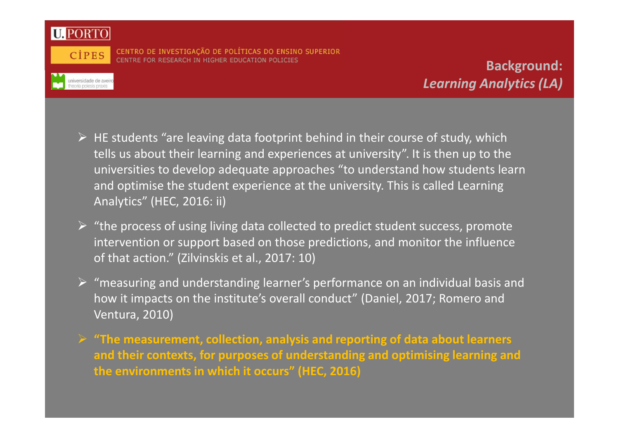

**CIPES** 

universidade de aveiro<br>theoria poiesis praxis

CENTRO DE INVESTIGAÇÃO DE POLÍTICAS DO ENSINO SUPERIOR CENTRE FOR RESEARCH IN HIGHER EDUCATION POLICIES

**Background:***Learning Analytics (LA)*

- HE students "are leaving data footprint behind in their course of study, which<br>halls us about their learning and evening as at university". It is then un to the tells us about their learning and experiences at university". It is then up to the universities to develop adequate approaches "to understand how students learn and optimise the student experience at the university. This is called Learning Analytics" (HEC, 2016: ii)
- → "the process of using living data collected to predict student success, promote intervention or support based on those predictions, and monitor the influence of that action." (Zilvinskis et al., 2017: 10)
- "measuring and understanding learner's performance on an individual basis and how it impacts on the institute's overall conduct" (Daniel, 2017; Romero and Ventura, 2010)
- **"The measurement, collection, analysis and reporting of data about learners and their contexts, for purposes of understanding and optimising learning and the environments in which it occurs" (HEC, 2016)**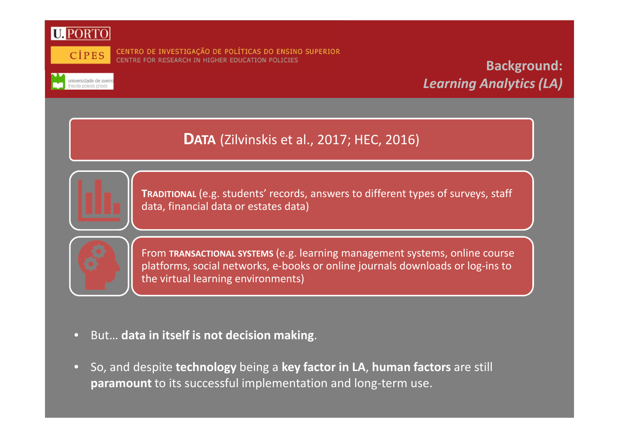



universidade de aveir

CENTRO DE INVESTIGAÇÃO DE POLÍTICAS DO ENSINO SUPERIOR CENTRE FOR RESEARCH IN HIGHER EDUCATION POLICIES

## **Background:***Learning Analytics (LA)*

**DATA** (Zilvinskis et al., 2017; HEC, 2016)



**TRADITIONAL** (e.g. students' records, answers to different types of surveys, staff data, financial data or estates data)



From **TRANSACTIONAL SYSTEMS** (e.g. learning management systems, online course platforms, social networks, e-books or online journals downloads or log-ins to the virtual learning environments)

- $\Box$ But… **data in itself is not decision making**.
- $\bullet$  So, and despite **technology** being a **key factor in LA**, **human factors** are still **paramount** to its successful implementation and long-term use.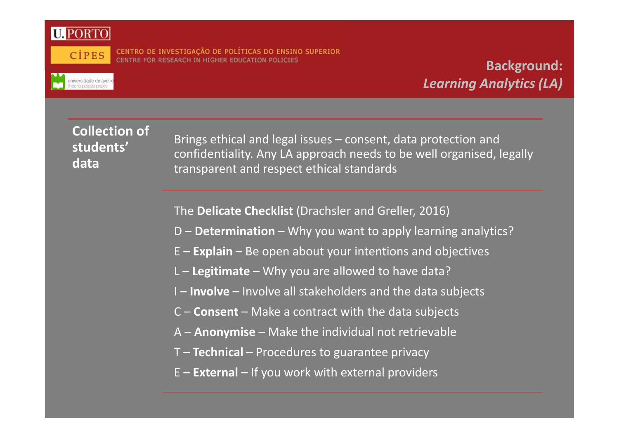



universidade de aveir<br>theoria poiesis praxis

CENTRO DE INVESTIGAÇÃO DE POLÍTICAS DO ENSINO SUPERIOR RE FOR RESEARCH IN HIGHER EDUCATION POLICIES

## **Background:***Learning Analytics (LA)*

### **Collection of students' data**

Brings ethical and legal issues – consent, data protection and confidentiality. Any LA approach needs to be well organised, legally transparent and respect ethical standards

The **Delicate Checklist** (Drachsler and Greller, 2016)

- D **Determination** Why you want to apply learning analytics?
- E **Explain** Be open about your intentions and objectives
- L **Legitimate** Why you are allowed to have data?
- I **Involve** Involve all stakeholders and the data subjects
- C **Consent** Make a contract with the data subjects
- A **Anonymise** Make the individual not retrievable
- T **Technical** Procedures to guarantee privacy
- E **External** If you work with external providers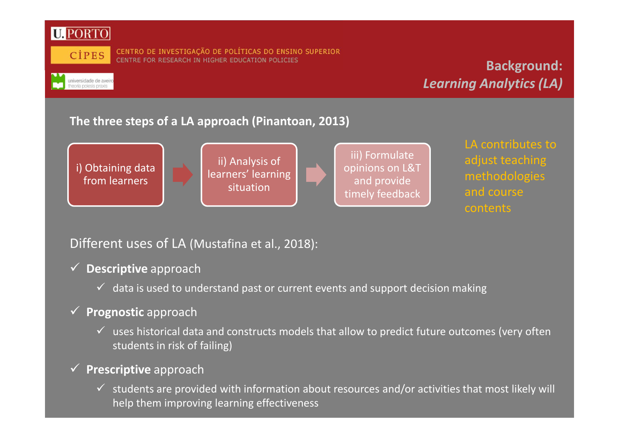

universidade de aveiro<br>theoria poiesis praxis

## **Background:***Learning Analytics (LA)*

### **The three steps of a LA approach (Pinantoan, 2013)**



### Different uses of LA (Mustafina et al., 2018):

# **Descriptive** approach

 $\checkmark$  data is used to understand past or current events and support decision making

## **Prognostic** approach

 $\checkmark$  uses historical data and constructs models that allow to predict future outcomes (very often in right of failing). students in risk of failing)

# **Prescriptive** approach

 $\checkmark$  students are provided with information about resources and/or activities that most likely will  $\checkmark$ help them improving learning effectiveness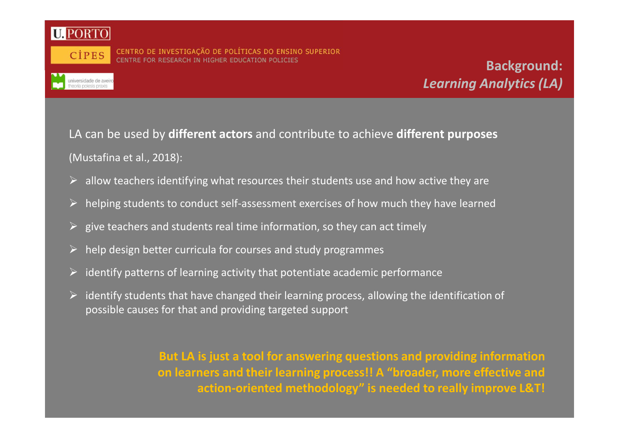

CENTRO DE INVESTIGAÇÃO DE POLÍTICAS DO ENSINO SUPERIOR<br>CENTRE FOR RESEARCH IN HIGHER EDUCATION POLICIES

## **Background:***Learning Analytics (LA)*

LA can be used by **different actors** and contribute to achieve **different purposes** (Mustafina et al., 2018):

- $\triangleright$  allow teachers identifying what resources their students use and how active they are
- $\blacktriangleright$ helping students to conduct self-assessment exercises of how much they have learned
- $\blacktriangleright$ give teachers and students real time information, so they can act timely
- $\triangleright$ help design better curricula for courses and study programmes
- $\triangleright$ identify patterns of learning activity that potentiate academic performance
- > identify students that have changed their learning process, allowing the identification of possible causes for that and providing targeted support

**But LA is just a tool for answering questions and providing information on learners and their learning process!! A "broader, more effective and action-oriented methodology" is needed to really improve L&T!**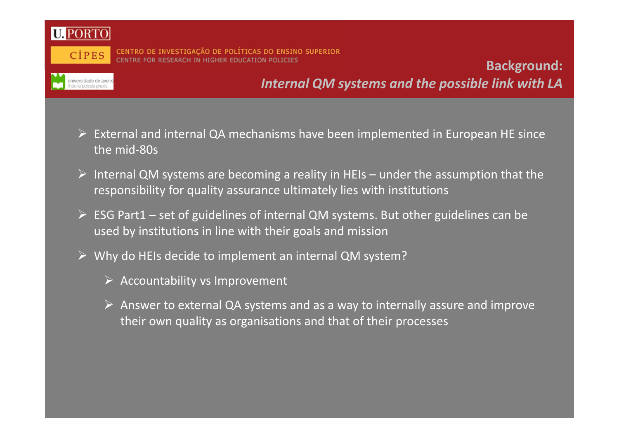

universidade de aveira<br>theoria poiesis praxis

CENTRO DE INVESTIGAÇÃO DE POLÍTICAS DO ENSINO SUPERIOR CENTRE FOR RESEARCH IN HIGHER EDUCATION POLICIES

**Background:***Internal QM systems and the possible link with LA*

- External and internal QA mechanisms have been implemented in European HE since the mid-80s
- Internal QM systems are becoming a reality in HEIs under the assumption that the responsibility for quality assurance ultimately lies with institutions
- ► ESG Part1 set of guidelines of internal QM systems. But other guidelines can be used by institutions in line with their goals and mission
- Why do HEIs decide to implement an internal QM system?
	- Accountability vs Improvement
	- Answer to external QA systems and as a way to internally assure and improve their own quality as organisations and that of their processes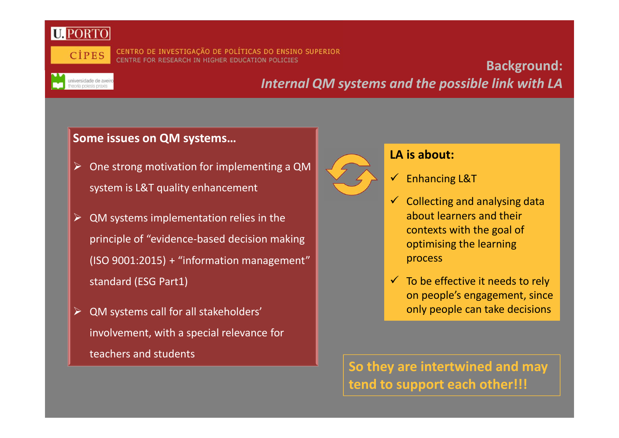

universidade de aveira<br>theoria poiesis praxis

CENTRO DE INVESTIGAÇÃO DE POLÍTICAS DO ENSINO SUPERIOR CENTRE FOR RESEARCH IN HIGHER EDUCATION POLICIES

### **Background:***Internal QM systems and the possible link with LA*

### **Some issues on QM systems…**

- One strong motivation for implementing a QM system is L&T quality enhancement
- $\triangleright$  QM systems implementation relies in the principle of "evidence-based decision making (ISO 9001:2015) + "information management" standard (ESG Part1)
- > QM systems call for all stakeholders' involvement, with a special relevance for teachers and students



### **LA is about:**

- $\checkmark$  Enhancing L&T
- $\checkmark$  Collecting and analysing data about learners and their contexts with the goal of optimising the learning process
- $\checkmark$  To be effective it needs to rely on people's engagement, since only people can take decisions

**So they are intertwined and may tend to support each other!!!**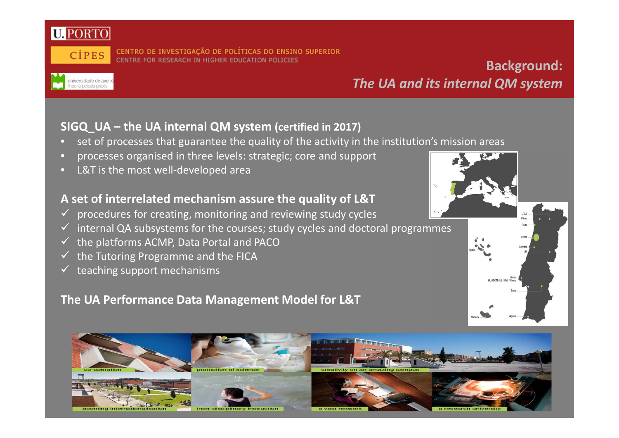

universidade de aveir

### CENTRO DE INVESTIGAÇÃO DE POLÍTICAS DO ENSINO SUPERIOR CENTRE FOR RESEARCH IN HIGHER EDUCATION POLICIES

## **Background:***The UA and its internal QM system*

### **SIGQ\_UA – the UA internal QM system (certified in 2017)**

- $\Box$ set of processes that guarantee the quality of the activity in the institution's mission areas
- •processes organised in three levels: strategic; core and support
- •L&T is the most well-developed area

### **A set of interrelated mechanism assure the quality of L&T**

- √ procedures for creating, monitoring and reviewing study cycles  $\checkmark$
- $\checkmark$ internal QA subsystems for the courses; study cycles and doctoral programmes
- $\checkmark$ the platforms ACMP, Data Portal and PACO
- $\checkmark$ the Tutoring Programme and the FICA
- $\checkmark$ teaching support mechanisms

### **The UA Performance Data Management Model for L&T**

# romotion of booming internationalisation inter-disciplinary instruction

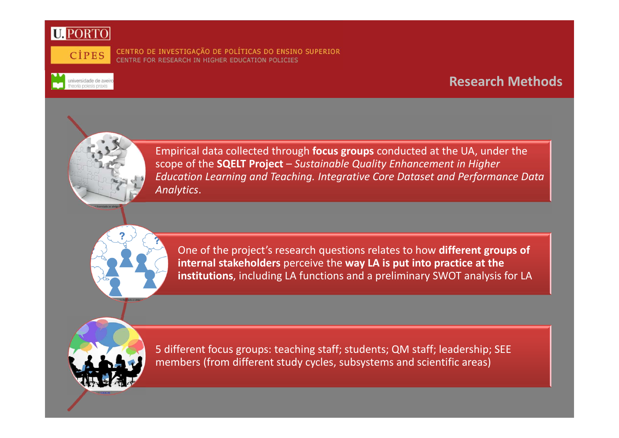



universidade de avei

CENTRO DE INVESTIGAÇÃO DE POLÍTICAS DO ENSINO SUPERIOR CENTRE FOR RESEARCH IN HIGHER EDUCATION POLICIES

### **Research Methods**



Empirical data collected through **focus groups** conducted at the UA, under the scope of the **SQELT Project** – *Sustainable Quality Enhancement in Higher Education Learning and Teaching. Integrative Core Dataset and Performance Data Analytics*.

One of the project's research questions relates to how **different groups of internal stakeholders** perceive the **way LA is put into practice at the institutions**, including LA functions and a preliminary SWOT analysis for LA



5 different focus groups: teaching staff; students; QM staff; leadership; SEE members (from different study cycles, subsystems and scientific areas)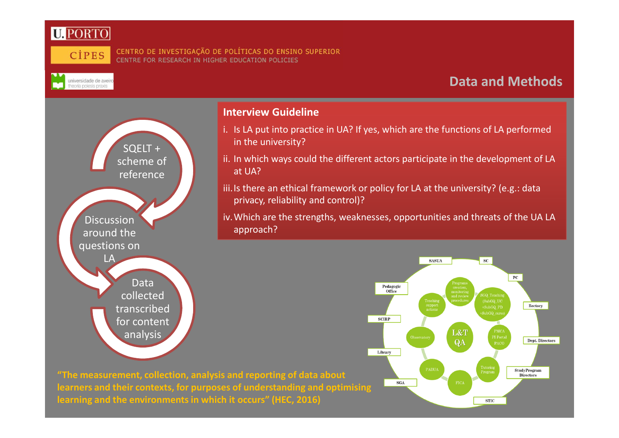



universidade de aveiro<br>theoria poiesis praxis

#### CENTRO DE INVESTIGAÇÃO DE POLÍTICAS DO ENSINO SUPERIOR CENTRE FOR RESEARCH IN HIGHER EDUCATION POLICIES

### **Data and Methods**



### **Interview Guideline**

- i. Is LA put into practice in UA? If yes, which are the functions of LA performed in the university?
- ii. In which ways could the different actors participate in the development of LA at UA?
- iii. Is there an ethical framework or policy for LA at the university? (e.g.: data privacy, reliability and control)?

iv.Which are the strengths, weaknesses, opportunities and threats of the UA LA approach?



**"The measurement, collection, analysis and reporting of data about learners and their contexts, for purposes of understanding and optimisinglearning and the environments in which it occurs" (HEC, 2016)**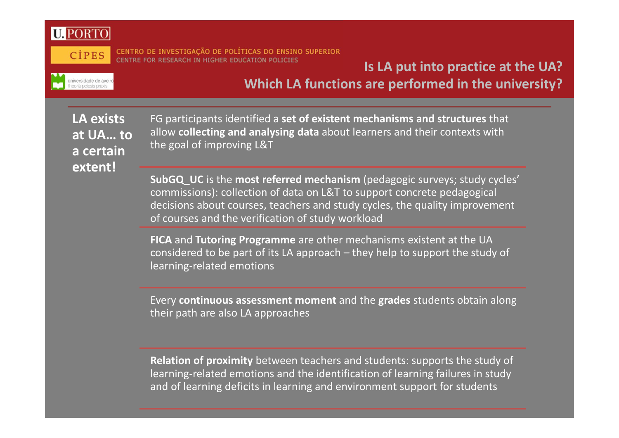

universidade de aveir<br>theoria poiesis praxis

CENTRO DE INVESTIGAÇÃO DE POLÍTICAS DO ENSINO SUPERIOR CENTRE FOR RESEARCH IN HIGHER EDUCATION POLICIES

## **Is LA put into practice at the UA?Which LA functions are performed in the university?**

**LA exists at UA… to a certain extent!**

FG participants identified a **set of existent mechanisms and structures** that allow **collecting and analysing data** about learners and their contexts with the goal of improving L&T

**SubGQ\_UC** is the **most referred mechanism** (pedagogic surveys; study cycles' commissions): collection of data on L&T to support concrete pedagogical decisions about courses, teachers and study cycles, the quality improvement of courses and the verification of study workload

**FICA** and **Tutoring Programme** are other mechanisms existent at the UA considered to be part of its LA approach – they help to support the study of learning-related emotions

Every **continuous assessment moment** and the **grades** students obtain along their path are also LA approaches

**Relation of proximity** between teachers and students: supports the study of learning-related emotions and the identification of learning failures in study and of learning deficits in learning and environment support for students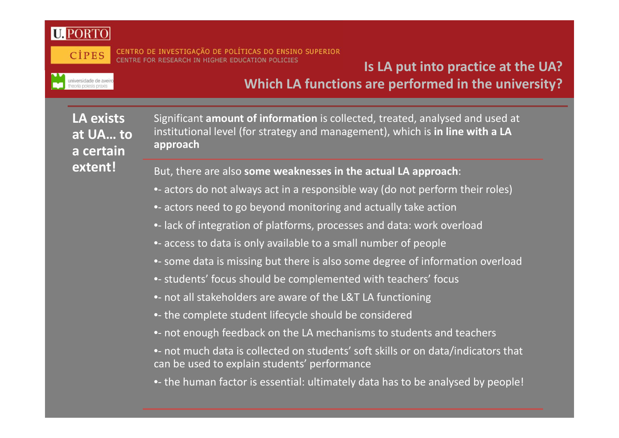

universidade de aveir<br>theoria poiesis praxis

CENTRO DE INVESTIGAÇÃO DE POLÍTICAS DO ENSINO SUPERIOR RE FOR RESEARCH IN HIGHER EDUCATION POLICIES

## **Is LA put into practice at the UA?Which LA functions are performed in the university?**

**LA exists at UA… to a certain extent!**

Significant **amount of information** is collected, treated, analysed and used at institutional level (for strategy and management), which is **in line with a LA approach**

But, there are also **some weaknesses in the actual LA approach**:

- •- actors do not always act in a responsible way (do not perform their roles)
- •- actors need to go beyond monitoring and actually take action
- •- lack of integration of platforms, processes and data: work overload
- •- access to data is only available to a small number of people
- •- some data is missing but there is also some degree of information overload
- •- students' focus should be complemented with teachers' focus
- •- not all stakeholders are aware of the L&T LA functioning
- •- the complete student lifecycle should be considere d
- •- not enough feedback on the LA mechanisms to students and teachers
- not much data is collected on students' soft skills or on data/indicators that can be used to explain students' performance
- •- the human factor is essential: ultimately data has to be analysed by people!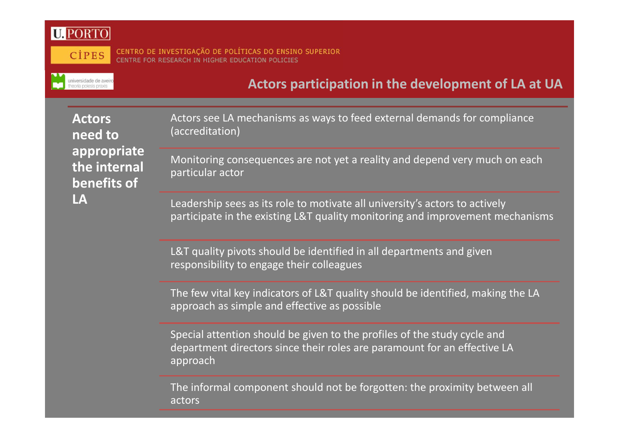**NV** 



universidade de aveiro

CENTRO DE INVESTIGAÇÃO DE POLÍTICAS DO ENSINO SUPERIOR<br>CENTRE FOR RESEARCH IN HIGHER EDUCATION POLICIES

### **Actors participation in the development of LA at UA**

Acto **nee appropriate** the **bene LA**

| rs<br>d to<br>ropriate<br>internal<br>efits of | Actors see LA mechanisms as ways to feed external demands for compliance<br>(accreditation)                                                                      |
|------------------------------------------------|------------------------------------------------------------------------------------------------------------------------------------------------------------------|
|                                                | Monitoring consequences are not yet a reality and depend very much on each<br>particular actor                                                                   |
|                                                | Leadership sees as its role to motivate all university's actors to actively<br>participate in the existing L&T quality monitoring and improvement mechanisms     |
|                                                | L&T quality pivots should be identified in all departments and given<br>responsibility to engage their colleagues                                                |
|                                                | The few vital key indicators of L&T quality should be identified, making the LA<br>approach as simple and effective as possible                                  |
|                                                | Special attention should be given to the profiles of the study cycle and<br>department directors since their roles are paramount for an effective LA<br>approach |
|                                                | The informal component should not be forgotten: the proximity between all<br>actors                                                                              |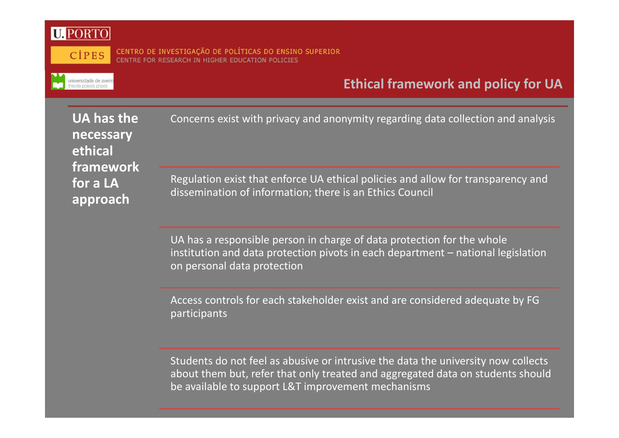

universidade de avei

CENTRO DE INVESTIGAÇÃO DE POLÍTICAS DO ENSINO SUPERIOR CENTRE FOR RESEARCH IN HIGHER EDUCATION POLICIES

### **Ethical framework and policy for UA**

| UA has the<br>necessary<br>ethical<br>framework | Concerns exist with privacy and anonymity regarding data collection and analysis |
|-------------------------------------------------|----------------------------------------------------------------------------------|
| for a LA                                        | Regulation exist that enforce UA ethical policies and allow for transparency and |
| approach                                        | dissemination of information; there is an Ethics Council                         |

UA has a responsible person in charge of data protection for the whole institution and data protection pivots in each department – national legislation on personal data protection

Access controls for each stakeholder exist and are considered adequate by FG participants

Students do not feel as abusive or intrusive the data the university now collects about them but, refer that only treated and aggregated data on students should be available to support L&T improvement mechanisms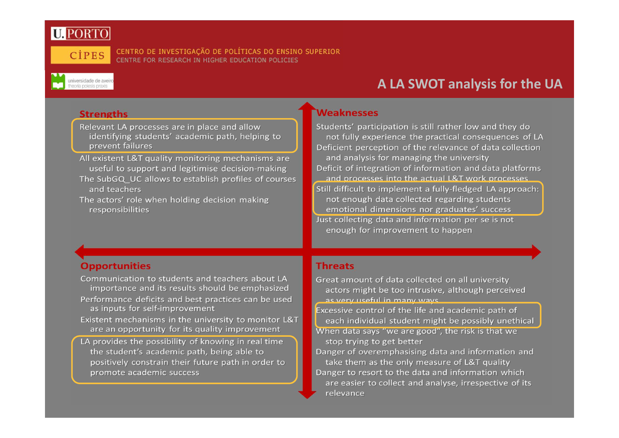

universidade de aveiro<br>theoria poiesis praxis

CENTRO DE INVESTIGAÇÃO DE POLÍTICAS DO ENSINO SUPERIOR CENTRE FOR RESEARCH IN HIGHER EDUCATION POLICIES



- Relevant LA processes are in place and allow identifying students' academic path, helping to prevent failures
- All existent L&T quality monitoring mechanisms are useful to support and legitimise decision-making The SubGQ UC allows to establish profiles of courses and teachers
- The actors' role when holding decision making responsibilities

### **Weaknesses**

Students' participation is still rather low and they do not fully experience the practical consequences of LA Deficient perception of the relevance of data collection and analysis for managing the university Deficit of integration of information and data platforms and processes into the actual L&T work processes Still difficult to implement a fully-fledged LA approach: not enough data collected regarding students emotional dimensions nor graduates' success Just collecting data and information per se is not enough for improvement to happen

### **Opportunities**

Communication to students and teachers about LA importance and its results should be emphasized Performance deficits and best practices can be used as inputs for self-improvement Existent mechanisms in the university to monitor L&T are an opportunity for its quality improvement LA provides the possibility of knowing in real time the student's academic path, being able to positively constrain their future path in order to promote academic success

### **Threats**

Great amount of data collected on all university actors might be too intrusive, although perceived as very useful in many ways Excessive control of the life and academic path of each individual student might be possibly unethical When data says "we are good", the risk is that we stop trying to get better Danger of overemphasising data and information and take them as the only measure of L&T quality Danger to resort to the data and information which are easier to collect and analyse, irrespective of its relevance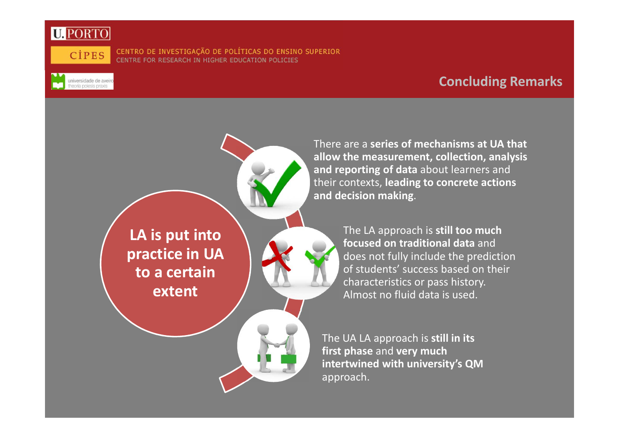

universidade de aveiro<br>theoria poiesis praxis

CENTRO DE INVESTIGAÇÃO DE POLÍTICAS DO ENSINO SUPERIOR CENTRE FOR RESEARCH IN HIGHER EDUCATION POLICIES

### **Concluding Remarks**



There are a **series of mechanisms at UA that allow the measurement, collection, analysis and reporting of data** about learners and their contexts, **leading to concrete actions and decision making**.

> The LA approach is **still too much focused on traditional data** and does not fully include the prediction of students' success based on their characteristics or pass history. Almost no fluid data is used.

The UA LA approach is **still in its first phase** and **very much intertwined with university's QM** approach.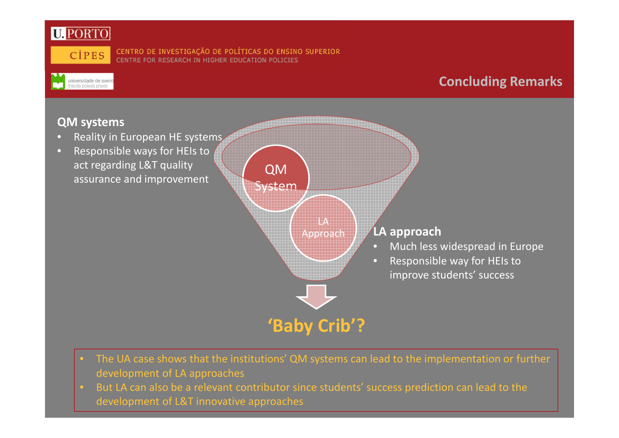



universidade de aveiro

CENTRO DE INVESTIGAÇÃO DE POLÍTICAS DO ENSINO SUPERIOR<br>CENTRE FOR RESEARCH IN HIGHER EDUCATION POLICIES

### **Concluding Remarks**

### **QM systems**

- **•** Reality in European HE systems  $\Box$
- • Responsible ways for HEIs to act regarding L&T quality assurance and improvement



- The UA case shows that the institutions' QM systems can lead to the implementation or further development of LA approaches
- But LA can also be a relevant contributor since students' success prediction can lead to the development of L&T innovative approaches